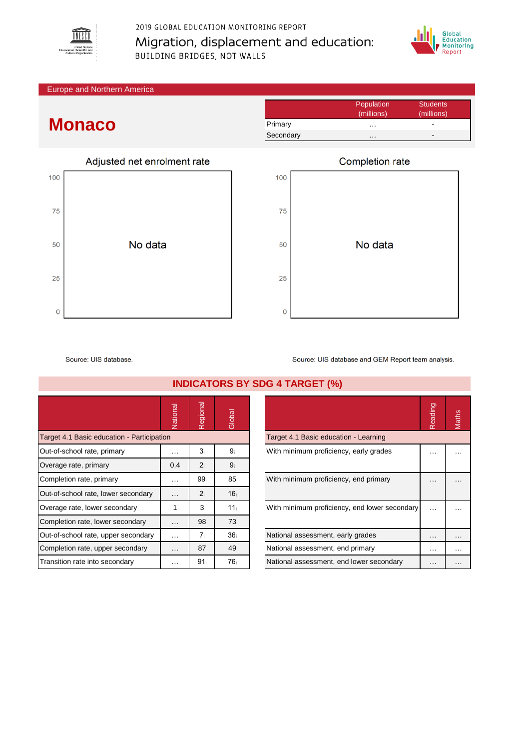

2019 GLOBAL EDUCATION MONITORING REPORT Migration, displacement and education: **BUILDING BRIDGES, NOT WALLS** 



Europe and Northern America

## **Monaco**

|           | Population | <b>Students</b> |
|-----------|------------|-----------------|
|           | (millions) | (millions)      |
| Primary   | .          | -               |
| Secondary | .          |                 |



|     | Completion rate |
|-----|-----------------|
| 100 |                 |
| 75  |                 |
| 50  | No data         |
| 25  |                 |
| 0   |                 |

Source: UIS database.

|                                            | Vational | Regional        | Global          |                                               | Reading  | Maths |
|--------------------------------------------|----------|-----------------|-----------------|-----------------------------------------------|----------|-------|
| Target 4.1 Basic education - Participation |          |                 |                 | Target 4.1 Basic education - Learning         |          |       |
| Out-of-school rate, primary                | $\cdots$ | 3 <sub>i</sub>  | 9ì              | With minimum proficiency, early grades        | .        |       |
| Overage rate, primary                      | 0.4      | 2 <sub>i</sub>  | 9 <sub>i</sub>  |                                               |          |       |
| Completion rate, primary                   | $\cdots$ | 99 <sub>i</sub> | 85              | With minimum proficiency, end primary         | $\cdots$ |       |
| Out-of-school rate, lower secondary        | $\cdots$ | 2 <sub>i</sub>  | 16 <sub>i</sub> |                                               |          |       |
| Overage rate, lower secondary              |          | 3               | 11 <sub>i</sub> | With minimum proficiency, end lower secondary | $\cdots$ |       |
| Completion rate, lower secondary           | $\cdots$ | 98              | 73              |                                               |          |       |
| Out-of-school rate, upper secondary        | $\cdots$ | 7i              | 36 <sub>i</sub> | National assessment, early grades             | $\cdots$ |       |
| Completion rate, upper secondary           | $\cdots$ | 87              | 49              | National assessment, end primary              | $\cdots$ |       |
| Transition rate into secondary             | $\cdots$ | 91 <sub>i</sub> | 76 <sub>i</sub> | National assessment, end lower secondary      | $\cdots$ |       |

**INDICATORS BY SDG 4 TARGET (%)**

|                                               | Readinc | <b>Aaths</b> |
|-----------------------------------------------|---------|--------------|
| Target 4.1 Basic education - Learning         |         |              |
| With minimum proficiency, early grades        |         |              |
| With minimum proficiency, end primary         |         |              |
| With minimum proficiency, end lower secondary |         |              |
| National assessment, early grades             |         |              |
| National assessment, end primary              |         |              |
| National assessment, end lower secondary      |         |              |
|                                               |         |              |

Source: UIS database and GEM Report team analysis.